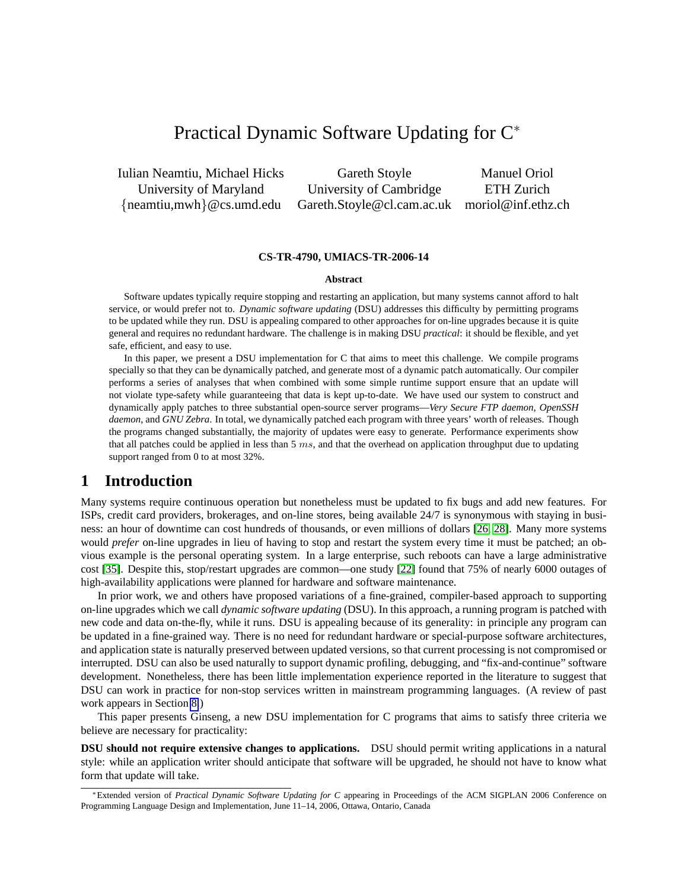# Practical Dynamic Software Updating for C<sup>∗</sup>

Iulian Neamtiu, Michael Hicks Gareth Stoyle Manuel Oriol University of Maryland University of Cambridge ETH Zurich {neamtiu,mwh}@cs.umd.edu Gareth.Stoyle@cl.cam.ac.uk moriol@inf.ethz.ch

#### **CS-TR-4790, UMIACS-TR-2006-14**

#### **Abstract**

Software updates typically require stopping and restarting an application, but many systems cannot afford to halt service, or would prefer not to. *Dynamic software updating* (DSU) addresses this difficulty by permitting programs to be updated while they run. DSU is appealing compared to other approaches for on-line upgrades because it is quite general and requires no redundant hardware. The challenge is in making DSU *practical*: it should be flexible, and yet safe, efficient, and easy to use.

In this paper, we present a DSU implementation for C that aims to meet this challenge. We compile programs specially so that they can be dynamically patched, and generate most of a dynamic patch automatically. Our compiler performs a series of analyses that when combined with some simple runtime support ensure that an update will not violate type-safety while guaranteeing that data is kept up-to-date. We have used our system to construct and dynamically apply patches to three substantial open-source server programs—*Very Secure FTP daemon*, *OpenSSH daemon*, and *GNU Zebra*. In total, we dynamically patched each program with three years' worth of releases. Though the programs changed substantially, the majority of updates were easy to generate. Performance experiments show that all patches could be applied in less than  $5 \, ms$ , and that the overhead on application throughput due to updating support ranged from 0 to at most 32%.

## **1 Introduction**

Many systems require continuous operation but nonetheless must be updated to fix bugs and add new features. For ISPs, credit card providers, brokerages, and on-line stores, being available 24/7 is synonymous with staying in business: an hour of downtime can cost hundreds of thousands, or even millions of dollars [\[26,](#page-19-0) [28\]](#page-19-1). Many more systems would *prefer* on-line upgrades in lieu of having to stop and restart the system every time it must be patched; an obvious example is the personal operating system. In a large enterprise, such reboots can have a large administrative cost [\[35\]](#page-19-2). Despite this, stop/restart upgrades are common—one study [\[22\]](#page-19-3) found that 75% of nearly 6000 outages of high-availability applications were planned for hardware and software maintenance.

In prior work, we and others have proposed variations of a fine-grained, compiler-based approach to supporting on-line upgrades which we call *dynamic software updating* (DSU). In this approach, a running program is patched with new code and data on-the-fly, while it runs. DSU is appealing because of its generality: in principle any program can be updated in a fine-grained way. There is no need for redundant hardware or special-purpose software architectures, and application state is naturally preserved between updated versions, so that current processing is not compromised or interrupted. DSU can also be used naturally to support dynamic profiling, debugging, and "fix-and-continue" software development. Nonetheless, there has been little implementation experience reported in the literature to suggest that DSU can work in practice for non-stop services written in mainstream programming languages. (A review of past work appears in Section [8.](#page-17-0))

This paper presents Ginseng, a new DSU implementation for C programs that aims to satisfy three criteria we believe are necessary for practicality:

**DSU should not require extensive changes to applications.** DSU should permit writing applications in a natural style: while an application writer should anticipate that software will be upgraded, he should not have to know what form that update will take.

<sup>∗</sup>Extended version of *Practical Dynamic Software Updating for C* appearing in Proceedings of the ACM SIGPLAN 2006 Conference on Programming Language Design and Implementation, June 11–14, 2006, Ottawa, Ontario, Canada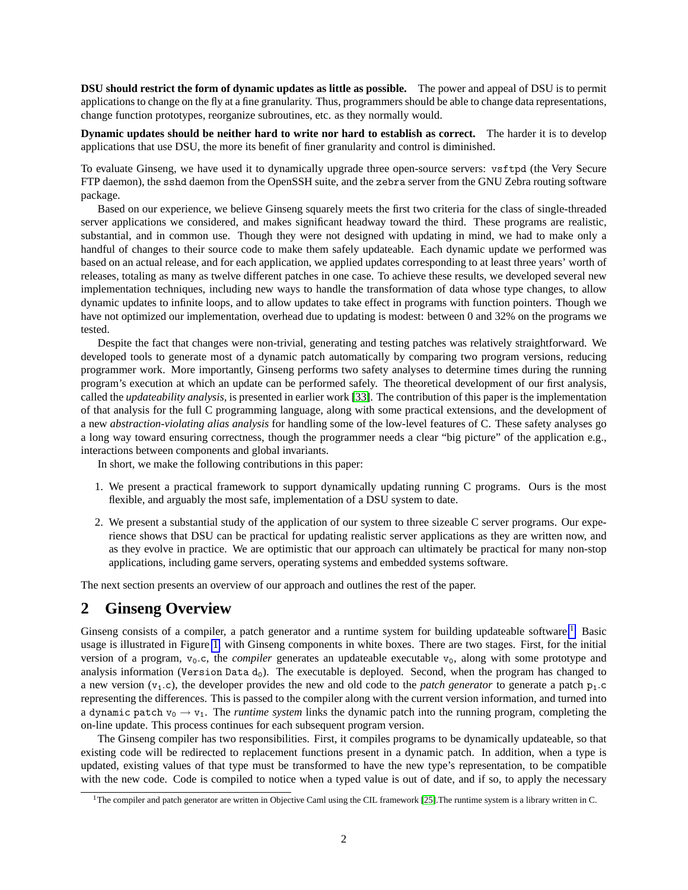**DSU should restrict the form of dynamic updates as little as possible.** The power and appeal of DSU is to permit applications to change on the fly at a fine granularity. Thus, programmers should be able to change data representations, change function prototypes, reorganize subroutines, etc. as they normally would.

**Dynamic updates should be neither hard to write nor hard to establish as correct.** The harder it is to develop applications that use DSU, the more its benefit of finer granularity and control is diminished.

To evaluate Ginseng, we have used it to dynamically upgrade three open-source servers: vsftpd (the Very Secure FTP daemon), the sshd daemon from the OpenSSH suite, and the zebra server from the GNU Zebra routing software package.

Based on our experience, we believe Ginseng squarely meets the first two criteria for the class of single-threaded server applications we considered, and makes significant headway toward the third. These programs are realistic, substantial, and in common use. Though they were not designed with updating in mind, we had to make only a handful of changes to their source code to make them safely updateable. Each dynamic update we performed was based on an actual release, and for each application, we applied updates corresponding to at least three years' worth of releases, totaling as many as twelve different patches in one case. To achieve these results, we developed several new implementation techniques, including new ways to handle the transformation of data whose type changes, to allow dynamic updates to infinite loops, and to allow updates to take effect in programs with function pointers. Though we have not optimized our implementation, overhead due to updating is modest: between 0 and 32% on the programs we tested.

Despite the fact that changes were non-trivial, generating and testing patches was relatively straightforward. We developed tools to generate most of a dynamic patch automatically by comparing two program versions, reducing programmer work. More importantly, Ginseng performs two safety analyses to determine times during the running program's execution at which an update can be performed safely. The theoretical development of our first analysis, called the *updateability analysis*, is presented in earlier work [\[33\]](#page-19-4). The contribution of this paper is the implementation of that analysis for the full C programming language, along with some practical extensions, and the development of a new *abstraction-violating alias analysis* for handling some of the low-level features of C. These safety analyses go a long way toward ensuring correctness, though the programmer needs a clear "big picture" of the application e.g., interactions between components and global invariants.

In short, we make the following contributions in this paper:

- 1. We present a practical framework to support dynamically updating running C programs. Ours is the most flexible, and arguably the most safe, implementation of a DSU system to date.
- 2. We present a substantial study of the application of our system to three sizeable C server programs. Our experience shows that DSU can be practical for updating realistic server applications as they are written now, and as they evolve in practice. We are optimistic that our approach can ultimately be practical for many non-stop applications, including game servers, operating systems and embedded systems software.

The next section presents an overview of our approach and outlines the rest of the paper.

## <span id="page-1-1"></span>**2 Ginseng Overview**

Ginseng consists of a compiler, a patch generator and a runtime system for building updateable software.<sup>[1](#page-1-0)</sup> Basic usage is illustrated in Figure [1,](#page-2-0) with Ginseng components in white boxes. There are two stages. First, for the initial version of a program,  $v_0.c$ , the *compiler* generates an updateable executable  $v_0$ , along with some prototype and analysis information (Version Data  $d_0$ ). The executable is deployed. Second, when the program has changed to a new version  $(v_1.c)$ , the developer provides the new and old code to the *patch generator* to generate a patch  $p_1.c$ representing the differences. This is passed to the compiler along with the current version information, and turned into a dynamic patch  $v_0 \rightarrow v_1$ . The *runtime system* links the dynamic patch into the running program, completing the on-line update. This process continues for each subsequent program version.

The Ginseng compiler has two responsibilities. First, it compiles programs to be dynamically updateable, so that existing code will be redirected to replacement functions present in a dynamic patch. In addition, when a type is updated, existing values of that type must be transformed to have the new type's representation, to be compatible with the new code. Code is compiled to notice when a typed value is out of date, and if so, to apply the necessary

<span id="page-1-0"></span><sup>&</sup>lt;sup>1</sup>The compiler and patch generator are written in Objective Caml using the CIL framework [\[25\]](#page-19-5). The runtime system is a library written in C.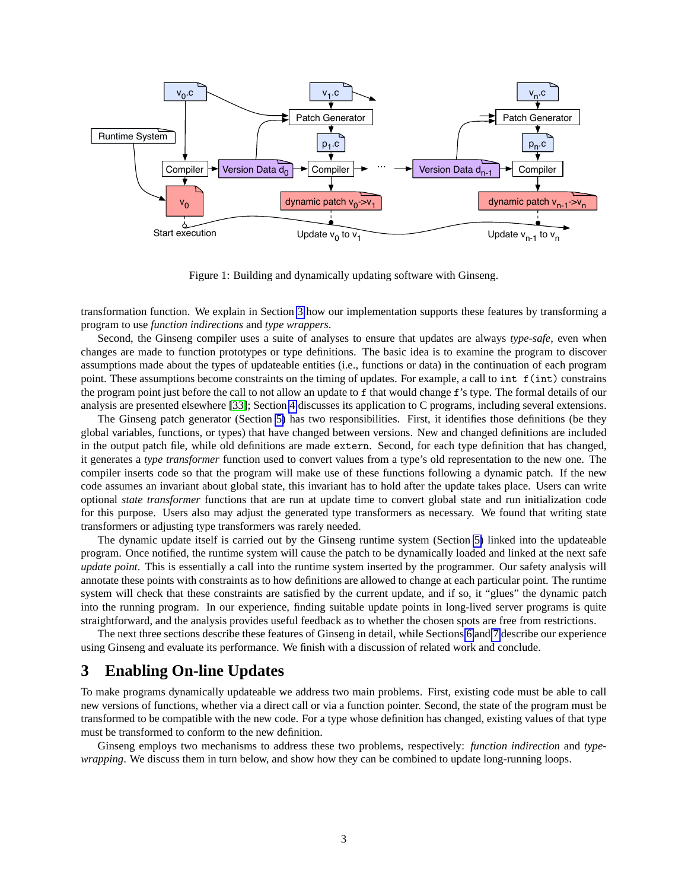

<span id="page-2-0"></span>Figure 1: Building and dynamically updating software with Ginseng.

transformation function. We explain in Section [3](#page-2-1) how our implementation supports these features by transforming a program to use *function indirections* and *type wrappers*.

Second, the Ginseng compiler uses a suite of analyses to ensure that updates are always *type-safe*, even when changes are made to function prototypes or type definitions. The basic idea is to examine the program to discover assumptions made about the types of updateable entities (i.e., functions or data) in the continuation of each program point. These assumptions become constraints on the timing of updates. For example, a call to int f(int) constrains the program point just before the call to not allow an update to f that would change f's type. The formal details of our analysis are presented elsewhere [\[33\]](#page-19-4); Section [4](#page-6-0) discusses its application to C programs, including several extensions.

The Ginseng patch generator (Section [5\)](#page-8-0) has two responsibilities. First, it identifies those definitions (be they global variables, functions, or types) that have changed between versions. New and changed definitions are included in the output patch file, while old definitions are made extern. Second, for each type definition that has changed, it generates a *type transformer* function used to convert values from a type's old representation to the new one. The compiler inserts code so that the program will make use of these functions following a dynamic patch. If the new code assumes an invariant about global state, this invariant has to hold after the update takes place. Users can write optional *state transformer* functions that are run at update time to convert global state and run initialization code for this purpose. Users also may adjust the generated type transformers as necessary. We found that writing state transformers or adjusting type transformers was rarely needed.

The dynamic update itself is carried out by the Ginseng runtime system (Section [5\)](#page-8-0) linked into the updateable program. Once notified, the runtime system will cause the patch to be dynamically loaded and linked at the next safe *update point*. This is essentially a call into the runtime system inserted by the programmer. Our safety analysis will annotate these points with constraints as to how definitions are allowed to change at each particular point. The runtime system will check that these constraints are satisfied by the current update, and if so, it "glues" the dynamic patch into the running program. In our experience, finding suitable update points in long-lived server programs is quite straightforward, and the analysis provides useful feedback as to whether the chosen spots are free from restrictions.

The next three sections describe these features of Ginseng in detail, while Sections [6](#page-8-1) and [7](#page-12-0) describe our experience using Ginseng and evaluate its performance. We finish with a discussion of related work and conclude.

### <span id="page-2-1"></span>**3 Enabling On-line Updates**

To make programs dynamically updateable we address two main problems. First, existing code must be able to call new versions of functions, whether via a direct call or via a function pointer. Second, the state of the program must be transformed to be compatible with the new code. For a type whose definition has changed, existing values of that type must be transformed to conform to the new definition.

Ginseng employs two mechanisms to address these two problems, respectively: *function indirection* and *typewrapping*. We discuss them in turn below, and show how they can be combined to update long-running loops.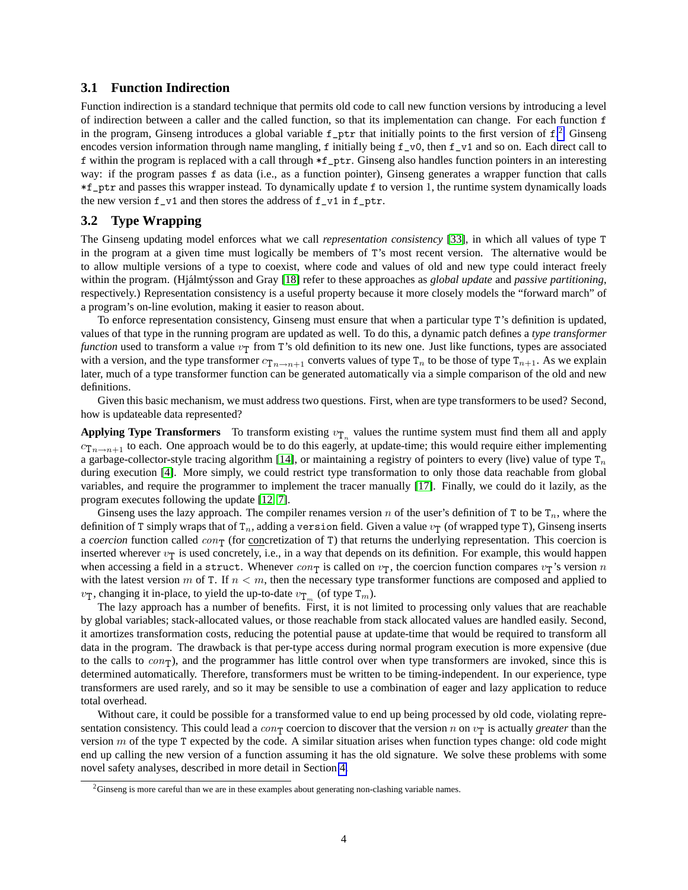### **3.1 Function Indirection**

Function indirection is a standard technique that permits old code to call new function versions by introducing a level of indirection between a caller and the called function, so that its implementation can change. For each function f in the program, Ginseng introduces a global variable  $f$ <sub>-p</sub>tr that initially points to the first version of  $f$ .<sup>[2](#page-3-0)</sup> Ginseng encodes version information through name mangling, f initially being  $f_v$  to, then  $f_v$ 1 and so on. Each direct call to f within the program is replaced with a call through \*f\_ptr. Ginseng also handles function pointers in an interesting way: if the program passes f as data (i.e., as a function pointer), Ginseng generates a wrapper function that calls \*f\_ptr and passes this wrapper instead. To dynamically update f to version 1, the runtime system dynamically loads the new version  $f_v1$  and then stores the address of  $f_v1$  in  $f_p1$ .

### **3.2 Type Wrapping**

The Ginseng updating model enforces what we call *representation consistency* [\[33\]](#page-19-4), in which all values of type T in the program at a given time must logically be members of T's most recent version. The alternative would be to allow multiple versions of a type to coexist, where code and values of old and new type could interact freely within the program. (Hjálmtýsson and Gray [\[18\]](#page-19-6) refer to these approaches as *global update* and *passive partitioning*, respectively.) Representation consistency is a useful property because it more closely models the "forward march" of a program's on-line evolution, making it easier to reason about.

To enforce representation consistency, Ginseng must ensure that when a particular type T's definition is updated, values of that type in the running program are updated as well. To do this, a dynamic patch defines a *type transformer function* used to transform a value  $v_T$  from T's old definition to its new one. Just like functions, types are associated with a version, and the type transformer  $c_{Tn\to n+1}$  converts values of type  $T_n$  to be those of type  $T_{n+1}$ . As we explain later, much of a type transformer function can be generated automatically via a simple comparison of the old and new definitions.

Given this basic mechanism, we must address two questions. First, when are type transformers to be used? Second, how is updateable data represented?

**Applying Type Transformers** To transform existing  $v_{\text{T}_n}$  values the runtime system must find them all and apply  $c_{T_n\to n+1}$  to each. One approach would be to do this eagerly, at update-time; this would require either implementing a garbage-collector-style tracing algorithm [\[14\]](#page-19-7), or maintaining a registry of pointers to every (live) value of type  $T_n$ during execution [\[4\]](#page-18-0). More simply, we could restrict type transformation to only those data reachable from global variables, and require the programmer to implement the tracer manually [\[17\]](#page-19-8). Finally, we could do it lazily, as the program executes following the update [\[12,](#page-18-1) [7\]](#page-18-2).

Ginseng uses the lazy approach. The compiler renames version n of the user's definition of T to be  $T_n$ , where the definition of T simply wraps that of  $\texttt{T}_n$ , adding a version field. Given a value  $v_{\texttt{T}}$  (of wrapped type T), Ginseng inserts a *coercion* function called  $con_{T}$  (for <u>con</u>cretization of T) that returns the underlying representation. This coercion is inserted wherever  $v_T$  is used concretely, i.e., in a way that depends on its definition. For example, this would happen when accessing a field in a struct. Whenever  $con_{T}$  is called on  $v_T$ , the coercion function compares  $v_T$ 's version  $n$ with the latest version  $m$  of T. If  $n < m$ , then the necessary type transformer functions are composed and applied to  $v_{\text{T}}$ , changing it in-place, to yield the up-to-date  $v_{\text{T}_m}$  (of type  $\text{T}_m$ ).

The lazy approach has a number of benefits. First, it is not limited to processing only values that are reachable by global variables; stack-allocated values, or those reachable from stack allocated values are handled easily. Second, it amortizes transformation costs, reducing the potential pause at update-time that would be required to transform all data in the program. The drawback is that per-type access during normal program execution is more expensive (due to the calls to  $con_{T}$ ), and the programmer has little control over when type transformers are invoked, since this is determined automatically. Therefore, transformers must be written to be timing-independent. In our experience, type transformers are used rarely, and so it may be sensible to use a combination of eager and lazy application to reduce total overhead.

Without care, it could be possible for a transformed value to end up being processed by old code, violating representation consistency. This could lead a  $con_{T}$  coercion to discover that the version n on  $v_T$  is actually *greater* than the version  $m$  of the type T expected by the code. A similar situation arises when function types change: old code might end up calling the new version of a function assuming it has the old signature. We solve these problems with some novel safety analyses, described in more detail in Section [4.](#page-6-0)

<span id="page-3-0"></span> ${}^{2}$ Ginseng is more careful than we are in these examples about generating non-clashing variable names.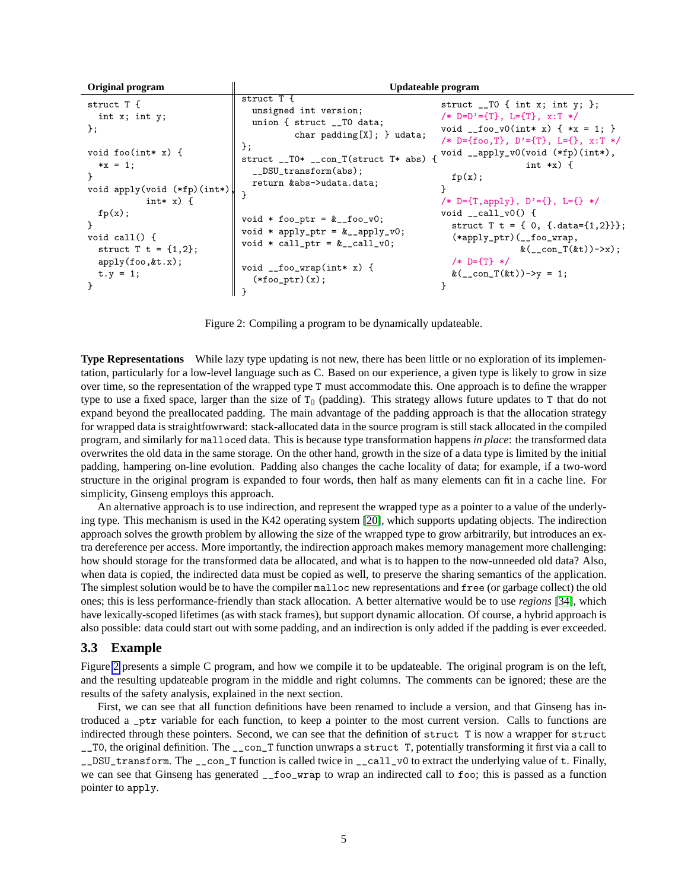| <b>Original program</b>                                                                                                                                                                                                    | Updateable program                                                                                                                                                                                                                                                                                                                                                               |                                                                                                                                                                                                                                                                                                                                                                                                                                                  |  |  |  |  |
|----------------------------------------------------------------------------------------------------------------------------------------------------------------------------------------------------------------------------|----------------------------------------------------------------------------------------------------------------------------------------------------------------------------------------------------------------------------------------------------------------------------------------------------------------------------------------------------------------------------------|--------------------------------------------------------------------------------------------------------------------------------------------------------------------------------------------------------------------------------------------------------------------------------------------------------------------------------------------------------------------------------------------------------------------------------------------------|--|--|--|--|
| struct T {<br>int x; int y;<br>$\cdot$<br>void foo(int* x) {<br>$*x = 1$ :<br>void apply(void $(*fp)(int*)$<br>$int* x)$ {<br>fp(x);<br>void call() $\{$<br>struct T t = $\{1,2\}$ ;<br>$apply(foo, \&t.x);$<br>$t.y = 1;$ | struct $T \{$<br>unsigned int version;<br>union { struct __TO data;<br>char padding $[X]$ ; $\}$ udata;<br>$\}$ ;<br>$struct -T0* -con_T(struct T* abs)$<br>$L$ DSU_transform(abs);<br>return &abs->udata.data;<br>void * foo_ptr = $k_f$ oo_v0;<br>void * apply_ptr = $&$ __apply_v0;<br>void * call_ptr = $&$ _call_v0;<br>void $_{-}$ foo_wrap(int* x) {<br>$(*foo\_ptr)(x);$ | struct $\_T0$ { int x; int y; };<br>/* D=D'={T}, L={T}, x:T */<br>void __foo_v0(int* x) { *x = 1; }<br>/* D={foo,T}, D'={T}, L={}, x:T */<br>void $\text{__apply_v0}(void (*fp)(int*),$<br>int $*x$ ) {<br>fp(x);<br>/* D={T,apply}, D'={}, L={} */<br>void $_{-}$ call $_{-}$ v0() {<br>struct T t = { 0, {.data={1,2}}};<br>$(*apply\_ptr)$ ( $\_foo\_wrap$ ,<br>& $\left($ con T $(kt)$ )->x):<br>$/*$ D={T} */<br>$\&$ (__con_T(&t))->y = 1; |  |  |  |  |

<span id="page-4-0"></span>Figure 2: Compiling a program to be dynamically updateable.

**Type Representations** While lazy type updating is not new, there has been little or no exploration of its implementation, particularly for a low-level language such as C. Based on our experience, a given type is likely to grow in size over time, so the representation of the wrapped type T must accommodate this. One approach is to define the wrapper type to use a fixed space, larger than the size of  $T_0$  (padding). This strategy allows future updates to T that do not expand beyond the preallocated padding. The main advantage of the padding approach is that the allocation strategy for wrapped data is straightfowrward: stack-allocated data in the source program is still stack allocated in the compiled program, and similarly for malloced data. This is because type transformation happens *in place*: the transformed data overwrites the old data in the same storage. On the other hand, growth in the size of a data type is limited by the initial padding, hampering on-line evolution. Padding also changes the cache locality of data; for example, if a two-word structure in the original program is expanded to four words, then half as many elements can fit in a cache line. For simplicity, Ginseng employs this approach.

An alternative approach is to use indirection, and represent the wrapped type as a pointer to a value of the underlying type. This mechanism is used in the K42 operating system [\[20\]](#page-19-9), which supports updating objects. The indirection approach solves the growth problem by allowing the size of the wrapped type to grow arbitrarily, but introduces an extra dereference per access. More importantly, the indirection approach makes memory management more challenging: how should storage for the transformed data be allocated, and what is to happen to the now-unneeded old data? Also, when data is copied, the indirected data must be copied as well, to preserve the sharing semantics of the application. The simplest solution would be to have the compiler malloc new representations and free (or garbage collect) the old ones; this is less performance-friendly than stack allocation. A better alternative would be to use *regions* [\[34\]](#page-19-10), which have lexically-scoped lifetimes (as with stack frames), but support dynamic allocation. Of course, a hybrid approach is also possible: data could start out with some padding, and an indirection is only added if the padding is ever exceeded.

### **3.3 Example**

Figure [2](#page-4-0) presents a simple C program, and how we compile it to be updateable. The original program is on the left, and the resulting updateable program in the middle and right columns. The comments can be ignored; these are the results of the safety analysis, explained in the next section.

First, we can see that all function definitions have been renamed to include a version, and that Ginseng has introduced a \_ptr variable for each function, to keep a pointer to the most current version. Calls to functions are indirected through these pointers. Second, we can see that the definition of struct T is now a wrapper for struct  $\Box$ T0, the original definition. The  $\Box$ con $\Box$ T function unwraps a struct T, potentially transforming it first via a call to \_\_DSU\_transform. The \_\_con\_T function is called twice in \_\_call\_v0 to extract the underlying value of t. Finally, we can see that Ginseng has generated \_\_foo\_wrap to wrap an indirected call to foo; this is passed as a function pointer to apply.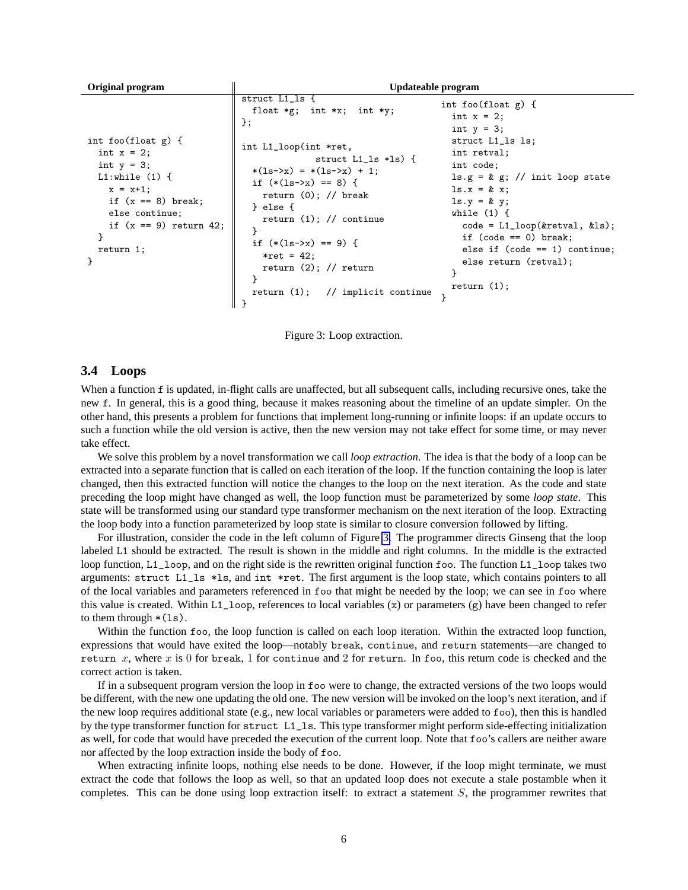| Original program                                                                                                                                                                     | Updateable program                                                                                                                                                                                                                                                                                                                                                                       |                                                                                                                                                                                                                                                                                                                                            |  |  |  |  |
|--------------------------------------------------------------------------------------------------------------------------------------------------------------------------------------|------------------------------------------------------------------------------------------------------------------------------------------------------------------------------------------------------------------------------------------------------------------------------------------------------------------------------------------------------------------------------------------|--------------------------------------------------------------------------------------------------------------------------------------------------------------------------------------------------------------------------------------------------------------------------------------------------------------------------------------------|--|--|--|--|
| int foo $(float g)$ {<br>int $x = 2$ ;<br>int $y = 3$ ;<br>L1:while $(1)$ {<br>$x = x + 1$ ;<br>if $(x == 8)$ break;<br>else continue;<br>if $(x == 9)$ return 42;<br>ł<br>return 1; | struct $L1$ <sub>1s</sub> {<br>float *g; int *x; int *y;<br>$\}$ ;<br>int L1_loop(int *ret,<br>struct $L1$ <sub>1s</sub> $*1s$ ) {<br>$*(ls - \ge x) = * (ls - \ge x) + 1;$<br>if $(*(ls->x) == 8)$ {<br>return $(0)$ ; // break<br>} else {<br>return $(1)$ ; // continue<br>if $(*(ls->x) == 9)$ {<br>*ret = $42$ ;<br>return $(2)$ ; // return<br>return $(1)$ ; // implicit continue | int foo(float $g$ ) {<br>int $x = 2$ ;<br>int $y = 3$ ;<br>struct L1_ls ls;<br>int retval;<br>int code;<br>$ls.g = \& g; // init loop state$<br>$ls.x = & x$ ;<br>$ls.y = & y;$<br>while $(1)$ {<br>$code = L1\_loop(kretval, kls);$<br>if $(code == 0) break;$<br>else if $(code == 1)$ continue;<br>else return (retval);<br>return (1); |  |  |  |  |

<span id="page-5-0"></span>Figure 3: Loop extraction.

### <span id="page-5-1"></span>**3.4 Loops**

When a function f is updated, in-flight calls are unaffected, but all subsequent calls, including recursive ones, take the new f. In general, this is a good thing, because it makes reasoning about the timeline of an update simpler. On the other hand, this presents a problem for functions that implement long-running or infinite loops: if an update occurs to such a function while the old version is active, then the new version may not take effect for some time, or may never take effect.

We solve this problem by a novel transformation we call *loop extraction*. The idea is that the body of a loop can be extracted into a separate function that is called on each iteration of the loop. If the function containing the loop is later changed, then this extracted function will notice the changes to the loop on the next iteration. As the code and state preceding the loop might have changed as well, the loop function must be parameterized by some *loop state*. This state will be transformed using our standard type transformer mechanism on the next iteration of the loop. Extracting the loop body into a function parameterized by loop state is similar to closure conversion followed by lifting.

For illustration, consider the code in the left column of Figure [3.](#page-5-0) The programmer directs Ginseng that the loop labeled L1 should be extracted. The result is shown in the middle and right columns. In the middle is the extracted loop function, L1\_loop, and on the right side is the rewritten original function foo. The function L1\_loop takes two arguments: struct L1\_ls \*ls, and int \*ret. The first argument is the loop state, which contains pointers to all of the local variables and parameters referenced in foo that might be needed by the loop; we can see in foo where this value is created. Within L1\_loop, references to local variables  $(x)$  or parameters  $(g)$  have been changed to refer to them through  $*(1s)$ .

Within the function foo, the loop function is called on each loop iteration. Within the extracted loop function, expressions that would have exited the loop—notably break, continue, and return statements—are changed to return  $x$ , where  $x$  is 0 for break, 1 for continue and 2 for return. In foo, this return code is checked and the correct action is taken.

If in a subsequent program version the loop in foo were to change, the extracted versions of the two loops would be different, with the new one updating the old one. The new version will be invoked on the loop's next iteration, and if the new loop requires additional state (e.g., new local variables or parameters were added to foo), then this is handled by the type transformer function for struct L1\_ls. This type transformer might perform side-effecting initialization as well, for code that would have preceded the execution of the current loop. Note that foo's callers are neither aware nor affected by the loop extraction inside the body of foo.

When extracting infinite loops, nothing else needs to be done. However, if the loop might terminate, we must extract the code that follows the loop as well, so that an updated loop does not execute a stale postamble when it completes. This can be done using loop extraction itself: to extract a statement  $S$ , the programmer rewrites that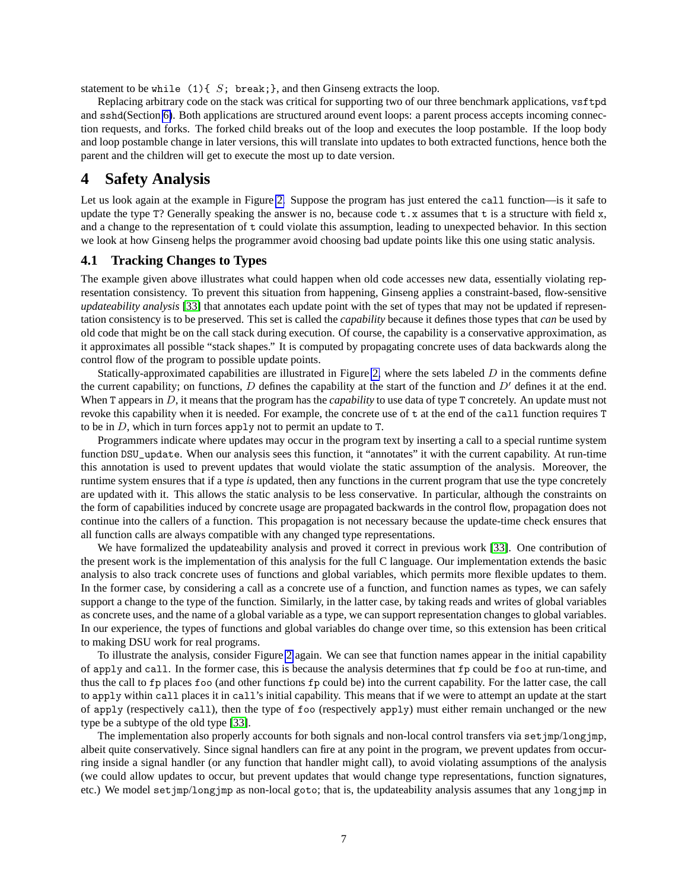statement to be while  $(1)$  {  $S$ ; break; }, and then Ginseng extracts the loop.

Replacing arbitrary code on the stack was critical for supporting two of our three benchmark applications, vsftpd and sshd(Section [6\)](#page-8-1). Both applications are structured around event loops: a parent process accepts incoming connection requests, and forks. The forked child breaks out of the loop and executes the loop postamble. If the loop body and loop postamble change in later versions, this will translate into updates to both extracted functions, hence both the parent and the children will get to execute the most up to date version.

## <span id="page-6-0"></span>**4 Safety Analysis**

Let us look again at the example in Figure [2.](#page-4-0) Suppose the program has just entered the call function—is it safe to update the type T? Generally speaking the answer is no, because code  $t \cdot x$  assumes that  $t \cdot$  is a structure with field x, and a change to the representation of t could violate this assumption, leading to unexpected behavior. In this section we look at how Ginseng helps the programmer avoid choosing bad update points like this one using static analysis.

### **4.1 Tracking Changes to Types**

The example given above illustrates what could happen when old code accesses new data, essentially violating representation consistency. To prevent this situation from happening, Ginseng applies a constraint-based, flow-sensitive *updateability analysis* [\[33\]](#page-19-4) that annotates each update point with the set of types that may not be updated if representation consistency is to be preserved. This set is called the *capability* because it defines those types that *can* be used by old code that might be on the call stack during execution. Of course, the capability is a conservative approximation, as it approximates all possible "stack shapes." It is computed by propagating concrete uses of data backwards along the control flow of the program to possible update points.

Statically-approximated capabilities are illustrated in Figure [2,](#page-4-0) where the sets labeled  $D$  in the comments define the current capability; on functions,  $D$  defines the capability at the start of the function and  $D'$  defines it at the end. When T appears in D, it means that the program has the *capability* to use data of type T concretely. An update must not revoke this capability when it is needed. For example, the concrete use of t at the end of the call function requires T to be in D, which in turn forces apply not to permit an update to T.

Programmers indicate where updates may occur in the program text by inserting a call to a special runtime system function DSU\_update. When our analysis sees this function, it "annotates" it with the current capability. At run-time this annotation is used to prevent updates that would violate the static assumption of the analysis. Moreover, the runtime system ensures that if a type *is* updated, then any functions in the current program that use the type concretely are updated with it. This allows the static analysis to be less conservative. In particular, although the constraints on the form of capabilities induced by concrete usage are propagated backwards in the control flow, propagation does not continue into the callers of a function. This propagation is not necessary because the update-time check ensures that all function calls are always compatible with any changed type representations.

We have formalized the updateability analysis and proved it correct in previous work [\[33\]](#page-19-4). One contribution of the present work is the implementation of this analysis for the full C language. Our implementation extends the basic analysis to also track concrete uses of functions and global variables, which permits more flexible updates to them. In the former case, by considering a call as a concrete use of a function, and function names as types, we can safely support a change to the type of the function. Similarly, in the latter case, by taking reads and writes of global variables as concrete uses, and the name of a global variable as a type, we can support representation changes to global variables. In our experience, the types of functions and global variables do change over time, so this extension has been critical to making DSU work for real programs.

To illustrate the analysis, consider Figure [2](#page-4-0) again. We can see that function names appear in the initial capability of apply and call. In the former case, this is because the analysis determines that fp could be foo at run-time, and thus the call to fp places foo (and other functions fp could be) into the current capability. For the latter case, the call to apply within call places it in call's initial capability. This means that if we were to attempt an update at the start of apply (respectively call), then the type of foo (respectively apply) must either remain unchanged or the new type be a subtype of the old type [\[33\]](#page-19-4).

The implementation also properly accounts for both signals and non-local control transfers via setjmp/longjmp, albeit quite conservatively. Since signal handlers can fire at any point in the program, we prevent updates from occurring inside a signal handler (or any function that handler might call), to avoid violating assumptions of the analysis (we could allow updates to occur, but prevent updates that would change type representations, function signatures, etc.) We model setjmp/longjmp as non-local goto; that is, the updateability analysis assumes that any longjmp in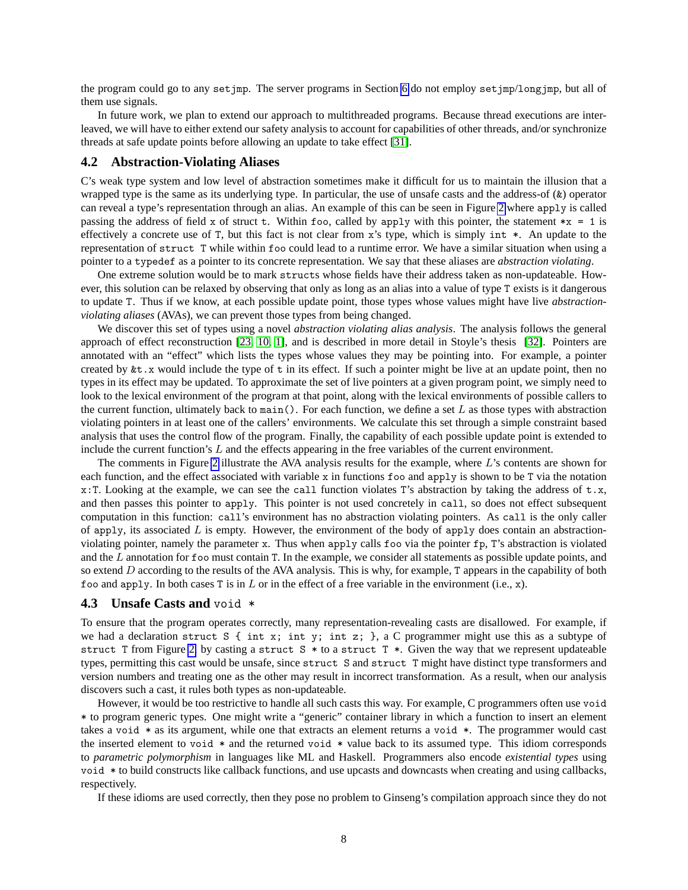the program could go to any setjmp. The server programs in Section [6](#page-8-1) do not employ setjmp/longjmp, but all of them use signals.

In future work, we plan to extend our approach to multithreaded programs. Because thread executions are interleaved, we will have to either extend our safety analysis to account for capabilities of other threads, and/or synchronize threads at safe update points before allowing an update to take effect [\[31\]](#page-19-11).

### <span id="page-7-0"></span>**4.2 Abstraction-Violating Aliases**

C's weak type system and low level of abstraction sometimes make it difficult for us to maintain the illusion that a wrapped type is the same as its underlying type. In particular, the use of unsafe casts and the address-of (&) operator can reveal a type's representation through an alias. An example of this can be seen in Figure [2](#page-4-0) where apply is called passing the address of field x of struct t. Within foo, called by apply with this pointer, the statement  $*x = 1$  is effectively a concrete use of T, but this fact is not clear from x's type, which is simply int  $*$ . An update to the representation of struct T while within foo could lead to a runtime error. We have a similar situation when using a pointer to a typedef as a pointer to its concrete representation. We say that these aliases are *abstraction violating*.

One extreme solution would be to mark structs whose fields have their address taken as non-updateable. However, this solution can be relaxed by observing that only as long as an alias into a value of type T exists is it dangerous to update T. Thus if we know, at each possible update point, those types whose values might have live *abstractionviolating aliases* (AVAs), we can prevent those types from being changed.

We discover this set of types using a novel *abstraction violating alias analysis*. The analysis follows the general approach of effect reconstruction [\[23,](#page-19-12) [10,](#page-18-3) [1\]](#page-18-4), and is described in more detail in Stoyle's thesis [\[32\]](#page-19-13). Pointers are annotated with an "effect" which lists the types whose values they may be pointing into. For example, a pointer created by  $&t.x$  would include the type of t in its effect. If such a pointer might be live at an update point, then no types in its effect may be updated. To approximate the set of live pointers at a given program point, we simply need to look to the lexical environment of the program at that point, along with the lexical environments of possible callers to the current function, ultimately back to main(). For each function, we define a set L as those types with abstraction violating pointers in at least one of the callers' environments. We calculate this set through a simple constraint based analysis that uses the control flow of the program. Finally, the capability of each possible update point is extended to include the current function's  $L$  and the effects appearing in the free variables of the current environment.

The comments in Figure [2](#page-4-0) illustrate the AVA analysis results for the example, where L's contents are shown for each function, and the effect associated with variable x in functions foo and apply is shown to be T via the notation  $x:$  T. Looking at the example, we can see the call function violates T's abstraction by taking the address of  $t.x$ , and then passes this pointer to apply. This pointer is not used concretely in call, so does not effect subsequent computation in this function: call's environment has no abstraction violating pointers. As call is the only caller of apply, its associated  $L$  is empty. However, the environment of the body of apply does contain an abstractionviolating pointer, namely the parameter x. Thus when apply calls foo via the pointer fp, T's abstraction is violated and the  $L$  annotation for foo must contain T. In the example, we consider all statements as possible update points, and so extend  $D$  according to the results of the AVA analysis. This is why, for example,  $T$  appears in the capability of both foo and apply. In both cases T is in L or in the effect of a free variable in the environment (i.e.,  $x$ ).

### <span id="page-7-1"></span>**4.3 Unsafe Casts and** void \*

To ensure that the program operates correctly, many representation-revealing casts are disallowed. For example, if we had a declaration struct S { int x; int y; int z; }, a C programmer might use this as a subtype of struct T from Figure [2,](#page-4-0) by casting a struct  $S *$  to a struct  $T *$ . Given the way that we represent updateable types, permitting this cast would be unsafe, since struct S and struct T might have distinct type transformers and version numbers and treating one as the other may result in incorrect transformation. As a result, when our analysis discovers such a cast, it rules both types as non-updateable.

However, it would be too restrictive to handle all such casts this way. For example, C programmers often use void \* to program generic types. One might write a "generic" container library in which a function to insert an element takes a void \* as its argument, while one that extracts an element returns a void \*. The programmer would cast the inserted element to void \* and the returned void \* value back to its assumed type. This idiom corresponds to *parametric polymorphism* in languages like ML and Haskell. Programmers also encode *existential types* using void \* to build constructs like callback functions, and use upcasts and downcasts when creating and using callbacks, respectively.

If these idioms are used correctly, then they pose no problem to Ginseng's compilation approach since they do not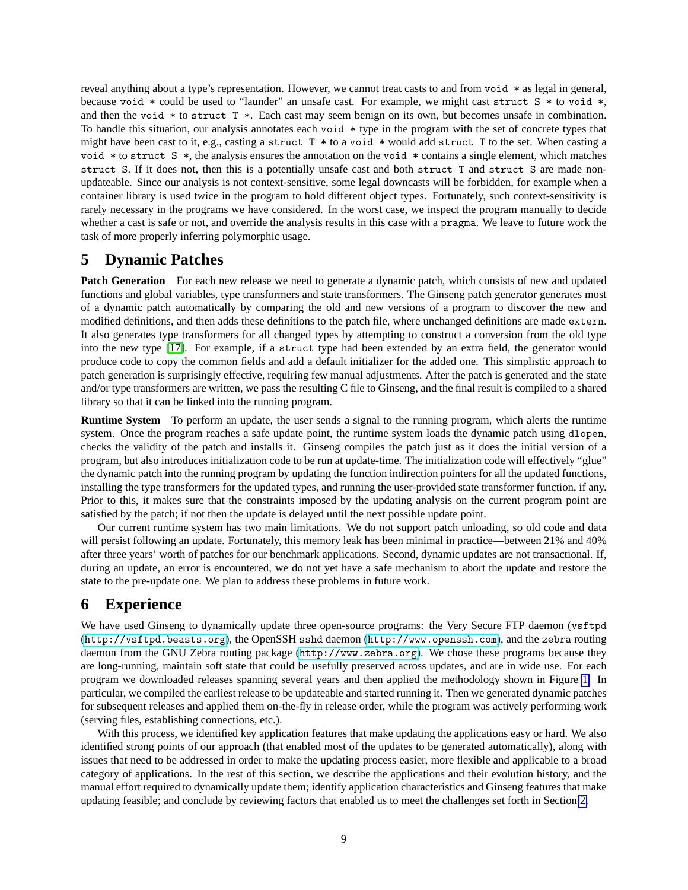reveal anything about a type's representation. However, we cannot treat casts to and from void \* as legal in general, because void \* could be used to "launder" an unsafe cast. For example, we might cast struct S \* to void \*, and then the void  $*$  to struct  $T *$ . Each cast may seem benign on its own, but becomes unsafe in combination. To handle this situation, our analysis annotates each void \* type in the program with the set of concrete types that might have been cast to it, e.g., casting a struct T \* to a void \* would add struct T to the set. When casting a void  $*$  to struct S  $*$ , the analysis ensures the annotation on the void  $*$  contains a single element, which matches struct S. If it does not, then this is a potentially unsafe cast and both struct T and struct S are made nonupdateable. Since our analysis is not context-sensitive, some legal downcasts will be forbidden, for example when a container library is used twice in the program to hold different object types. Fortunately, such context-sensitivity is rarely necessary in the programs we have considered. In the worst case, we inspect the program manually to decide whether a cast is safe or not, and override the analysis results in this case with a pragma. We leave to future work the task of more properly inferring polymorphic usage.

## <span id="page-8-0"></span>**5 Dynamic Patches**

**Patch Generation** For each new release we need to generate a dynamic patch, which consists of new and updated functions and global variables, type transformers and state transformers. The Ginseng patch generator generates most of a dynamic patch automatically by comparing the old and new versions of a program to discover the new and modified definitions, and then adds these definitions to the patch file, where unchanged definitions are made extern. It also generates type transformers for all changed types by attempting to construct a conversion from the old type into the new type [\[17\]](#page-19-8). For example, if a struct type had been extended by an extra field, the generator would produce code to copy the common fields and add a default initializer for the added one. This simplistic approach to patch generation is surprisingly effective, requiring few manual adjustments. After the patch is generated and the state and/or type transformers are written, we pass the resulting C file to Ginseng, and the final result is compiled to a shared library so that it can be linked into the running program.

**Runtime System** To perform an update, the user sends a signal to the running program, which alerts the runtime system. Once the program reaches a safe update point, the runtime system loads the dynamic patch using dlopen, checks the validity of the patch and installs it. Ginseng compiles the patch just as it does the initial version of a program, but also introduces initialization code to be run at update-time. The initialization code will effectively "glue" the dynamic patch into the running program by updating the function indirection pointers for all the updated functions, installing the type transformers for the updated types, and running the user-provided state transformer function, if any. Prior to this, it makes sure that the constraints imposed by the updating analysis on the current program point are satisfied by the patch; if not then the update is delayed until the next possible update point.

Our current runtime system has two main limitations. We do not support patch unloading, so old code and data will persist following an update. Fortunately, this memory leak has been minimal in practice—between 21% and 40% after three years' worth of patches for our benchmark applications. Second, dynamic updates are not transactional. If, during an update, an error is encountered, we do not yet have a safe mechanism to abort the update and restore the state to the pre-update one. We plan to address these problems in future work.

## <span id="page-8-1"></span>**6 Experience**

We have used Ginseng to dynamically update three open-source programs: the Very Secure FTP daemon (vsftpd) (<http://vsftpd.beasts.org>), the OpenSSH sshd daemon (<http://www.openssh.com>), and the zebra routing daemon from the GNU Zebra routing package (<http://www.zebra.org>). We chose these programs because they are long-running, maintain soft state that could be usefully preserved across updates, and are in wide use. For each program we downloaded releases spanning several years and then applied the methodology shown in Figure [1.](#page-2-0) In particular, we compiled the earliest release to be updateable and started running it. Then we generated dynamic patches for subsequent releases and applied them on-the-fly in release order, while the program was actively performing work (serving files, establishing connections, etc.).

With this process, we identified key application features that make updating the applications easy or hard. We also identified strong points of our approach (that enabled most of the updates to be generated automatically), along with issues that need to be addressed in order to make the updating process easier, more flexible and applicable to a broad category of applications. In the rest of this section, we describe the applications and their evolution history, and the manual effort required to dynamically update them; identify application characteristics and Ginseng features that make updating feasible; and conclude by reviewing factors that enabled us to meet the challenges set forth in Section [2.](#page-1-1)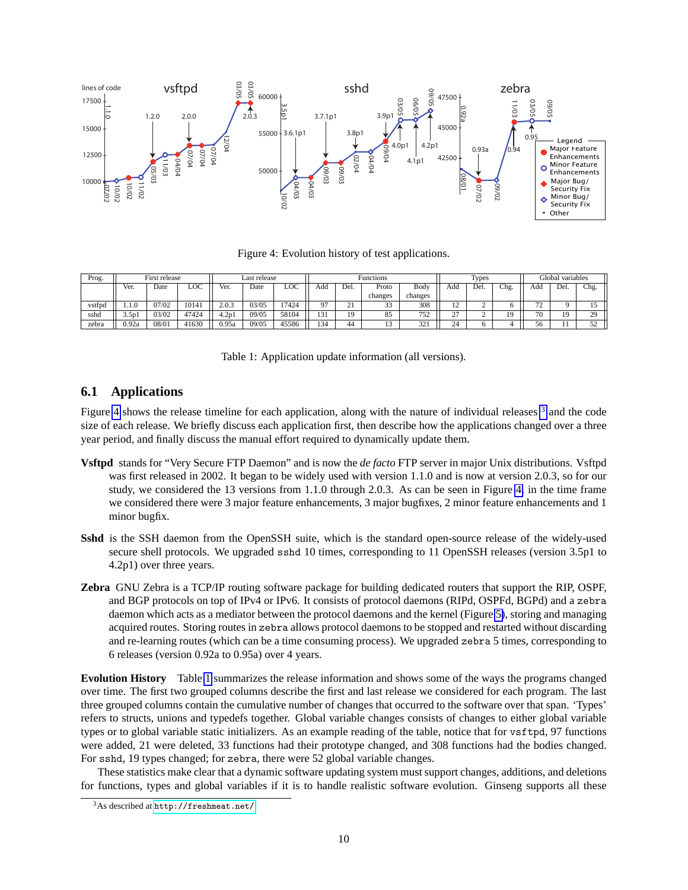

<span id="page-9-0"></span>Figure 4: Evolution history of test applications.

| Prog.  |       | First release |       | Last release |       |       | Functions | <b>Types</b>    |             |                       | Global variables |     |      |              |      |          |
|--------|-------|---------------|-------|--------------|-------|-------|-----------|-----------------|-------------|-----------------------|------------------|-----|------|--------------|------|----------|
|        | Ver.  | Date          | LOC   | Ver.         | Date  | LOC   | Ada       | Del.            | Proto       | Body                  | Ada              | Del | Chg. | Add          | Del. | Chg.     |
|        |       |               |       |              |       |       |           |                 | changes     | changes               |                  |     |      |              |      |          |
| vstfpd | 1.1.0 | 07/02         | 10141 | 2.0.3        | 03/05 | 7424  | o٦        | $^{\sim}$<br>∠⊥ | $\sim$<br>- | 308                   |                  |     |      | $\mathbf{a}$ |      |          |
| sshd   | 3.5p1 | 03/02         | 47424 | $+2p1$       | 09/05 | 58104 | 131       | 19              | 85          | 752<br>ے ر            | $\sim$<br>∸      |     |      | 70           |      | 20<br>٠. |
| zebra  | 0.92a | 08/01         | 41630 | 0.95a        | 09/05 | 45586 | 134       | 44              | . .         | $\mathfrak{D}$<br>ىدر | 24               |     |      |              |      | - -<br>◡ |

<span id="page-9-2"></span>Table 1: Application update information (all versions).

### **6.1 Applications**

Figure [4](#page-9-0) shows the release timeline for each application, along with the nature of individual releases  $3$  and the code size of each release. We briefly discuss each application first, then describe how the applications changed over a three year period, and finally discuss the manual effort required to dynamically update them.

- **Vsftpd** stands for "Very Secure FTP Daemon" and is now the *de facto* FTP server in major Unix distributions. Vsftpd was first released in 2002. It began to be widely used with version 1.1.0 and is now at version 2.0.3, so for our study, we considered the 13 versions from 1.1.0 through 2.0.3. As can be seen in Figure [4,](#page-9-0) in the time frame we considered there were 3 major feature enhancements, 3 major bugfixes, 2 minor feature enhancements and 1 minor bugfix.
- **Sshd** is the SSH daemon from the OpenSSH suite, which is the standard open-source release of the widely-used secure shell protocols. We upgraded sshd 10 times, corresponding to 11 OpenSSH releases (version 3.5p1 to 4.2p1) over three years.
- **Zebra** GNU Zebra is a TCP/IP routing software package for building dedicated routers that support the RIP, OSPF, and BGP protocols on top of IPv4 or IPv6. It consists of protocol daemons (RIPd, OSPFd, BGPd) and a zebra daemon which acts as a mediator between the protocol daemons and the kernel (Figure [5\)](#page-10-0), storing and managing acquired routes. Storing routes in zebra allows protocol daemons to be stopped and restarted without discarding and re-learning routes (which can be a time consuming process). We upgraded zebra 5 times, corresponding to 6 releases (version 0.92a to 0.95a) over 4 years.

**Evolution History** Table [1](#page-9-2) summarizes the release information and shows some of the ways the programs changed over time. The first two grouped columns describe the first and last release we considered for each program. The last three grouped columns contain the cumulative number of changes that occurred to the software over that span. 'Types' refers to structs, unions and typedefs together. Global variable changes consists of changes to either global variable types or to global variable static initializers. As an example reading of the table, notice that for vsftpd, 97 functions were added, 21 were deleted, 33 functions had their prototype changed, and 308 functions had the bodies changed. For sshd, 19 types changed; for zebra, there were 52 global variable changes.

These statistics make clear that a dynamic software updating system must support changes, additions, and deletions for functions, types and global variables if it is to handle realistic software evolution. Ginseng supports all these

<span id="page-9-1"></span> $3$ As described at <http://freshmeat.net/>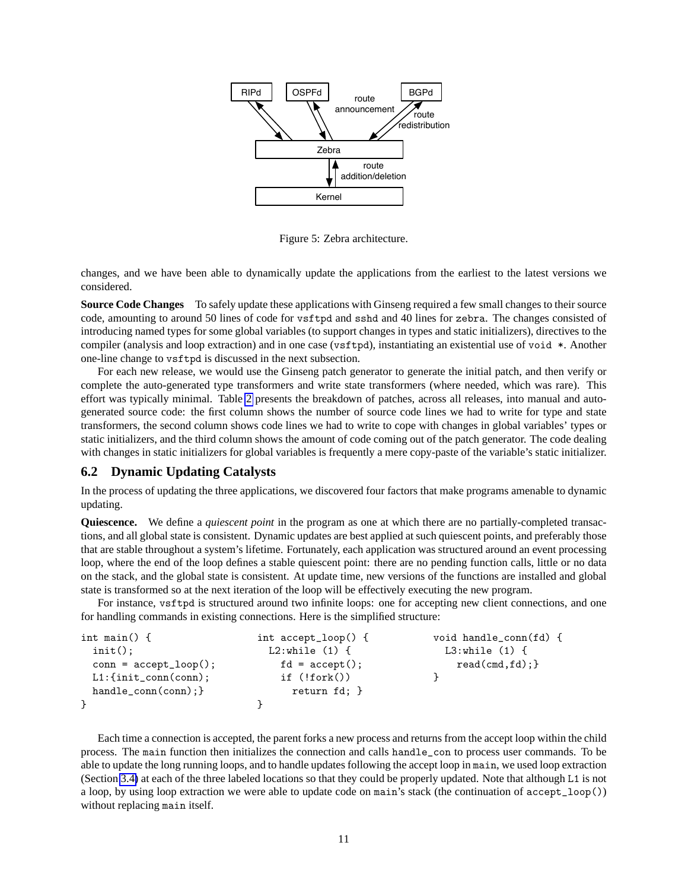

<span id="page-10-0"></span>Figure 5: Zebra architecture.

changes, and we have been able to dynamically update the applications from the earliest to the latest versions we considered.

**Source Code Changes** To safely update these applications with Ginseng required a few small changes to their source code, amounting to around 50 lines of code for vsftpd and sshd and 40 lines for zebra. The changes consisted of introducing named types for some global variables (to support changes in types and static initializers), directives to the compiler (analysis and loop extraction) and in one case (vsftpd), instantiating an existential use of void \*. Another one-line change to vsftpd is discussed in the next subsection.

For each new release, we would use the Ginseng patch generator to generate the initial patch, and then verify or complete the auto-generated type transformers and write state transformers (where needed, which was rare). This effort was typically minimal. Table [2](#page-11-0) presents the breakdown of patches, across all releases, into manual and autogenerated source code: the first column shows the number of source code lines we had to write for type and state transformers, the second column shows code lines we had to write to cope with changes in global variables' types or static initializers, and the third column shows the amount of code coming out of the patch generator. The code dealing with changes in static initializers for global variables is frequently a mere copy-paste of the variable's static initializer.

### **6.2 Dynamic Updating Catalysts**

In the process of updating the three applications, we discovered four factors that make programs amenable to dynamic updating.

**Quiescence.** We define a *quiescent point* in the program as one at which there are no partially-completed transactions, and all global state is consistent. Dynamic updates are best applied at such quiescent points, and preferably those that are stable throughout a system's lifetime. Fortunately, each application was structured around an event processing loop, where the end of the loop defines a stable quiescent point: there are no pending function calls, little or no data on the stack, and the global state is consistent. At update time, new versions of the functions are installed and global state is transformed so at the next iteration of the loop will be effectively executing the new program.

For instance, vsftpd is structured around two infinite loops: one for accepting new client connections, and one for handling commands in existing connections. Here is the simplified structure:

| int main() $\{$           | int $accept\_loop()$ { | void handle_conn(fd) { |
|---------------------------|------------------------|------------------------|
| $init()$ ;                | L2:while $(1)$ {       | L3:while $(1)$ {       |
| $conn = accept\_loop()$ ; | $fd = accept();$       | read(cmd, fd);         |
| $L1:$ {init_conn(conn);   | if $(!fork())$         |                        |
| $handle_{conn}(conn);$    | return $fd; \}$        |                        |
|                           |                        |                        |

Each time a connection is accepted, the parent forks a new process and returns from the accept loop within the child process. The main function then initializes the connection and calls handle\_con to process user commands. To be able to update the long running loops, and to handle updates following the accept loop in main, we used loop extraction (Section [3.4\)](#page-5-1) at each of the three labeled locations so that they could be properly updated. Note that although L1 is not a loop, by using loop extraction we were able to update code on main's stack (the continuation of accept\_loop()) without replacing main itself.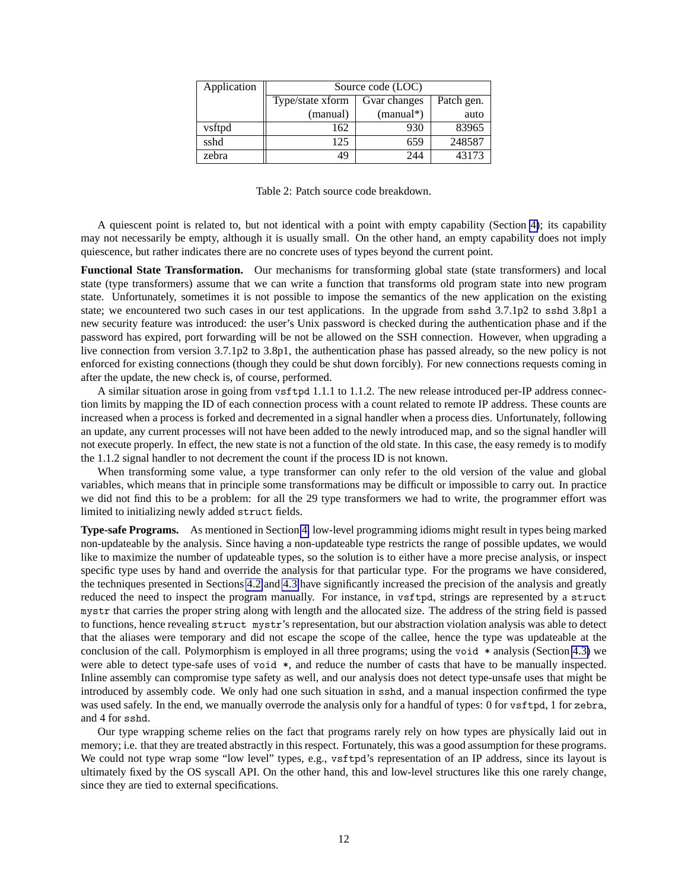| Application | Source code (LOC) |             |        |  |  |  |
|-------------|-------------------|-------------|--------|--|--|--|
|             | Type/state xform  | Patch gen.  |        |  |  |  |
|             | (manual)          | $(manual*)$ | auto   |  |  |  |
| vsftpd      | 162               | 930         | 83965  |  |  |  |
| sshd        | 125               | 659         | 248587 |  |  |  |
| zebra       | 49                | 244         | 43173  |  |  |  |

<span id="page-11-0"></span>Table 2: Patch source code breakdown.

A quiescent point is related to, but not identical with a point with empty capability (Section [4\)](#page-6-0); its capability may not necessarily be empty, although it is usually small. On the other hand, an empty capability does not imply quiescence, but rather indicates there are no concrete uses of types beyond the current point.

**Functional State Transformation.** Our mechanisms for transforming global state (state transformers) and local state (type transformers) assume that we can write a function that transforms old program state into new program state. Unfortunately, sometimes it is not possible to impose the semantics of the new application on the existing state; we encountered two such cases in our test applications. In the upgrade from sshd 3.7.1p2 to sshd 3.8p1 a new security feature was introduced: the user's Unix password is checked during the authentication phase and if the password has expired, port forwarding will be not be allowed on the SSH connection. However, when upgrading a live connection from version 3.7.1p2 to 3.8p1, the authentication phase has passed already, so the new policy is not enforced for existing connections (though they could be shut down forcibly). For new connections requests coming in after the update, the new check is, of course, performed.

A similar situation arose in going from vsftpd 1.1.1 to 1.1.2. The new release introduced per-IP address connection limits by mapping the ID of each connection process with a count related to remote IP address. These counts are increased when a process is forked and decremented in a signal handler when a process dies. Unfortunately, following an update, any current processes will not have been added to the newly introduced map, and so the signal handler will not execute properly. In effect, the new state is not a function of the old state. In this case, the easy remedy is to modify the 1.1.2 signal handler to not decrement the count if the process ID is not known.

When transforming some value, a type transformer can only refer to the old version of the value and global variables, which means that in principle some transformations may be difficult or impossible to carry out. In practice we did not find this to be a problem: for all the 29 type transformers we had to write, the programmer effort was limited to initializing newly added struct fields.

**Type-safe Programs.** As mentioned in Section [4,](#page-6-0) low-level programming idioms might result in types being marked non-updateable by the analysis. Since having a non-updateable type restricts the range of possible updates, we would like to maximize the number of updateable types, so the solution is to either have a more precise analysis, or inspect specific type uses by hand and override the analysis for that particular type. For the programs we have considered, the techniques presented in Sections [4.2](#page-7-0) and [4.3](#page-7-1) have significantly increased the precision of the analysis and greatly reduced the need to inspect the program manually. For instance, in vsftpd, strings are represented by a struct mystr that carries the proper string along with length and the allocated size. The address of the string field is passed to functions, hence revealing struct mystr's representation, but our abstraction violation analysis was able to detect that the aliases were temporary and did not escape the scope of the callee, hence the type was updateable at the conclusion of the call. Polymorphism is employed in all three programs; using the void \* analysis (Section [4.3\)](#page-7-1) we were able to detect type-safe uses of void  $*$ , and reduce the number of casts that have to be manually inspected. Inline assembly can compromise type safety as well, and our analysis does not detect type-unsafe uses that might be introduced by assembly code. We only had one such situation in sshd, and a manual inspection confirmed the type was used safely. In the end, we manually overrode the analysis only for a handful of types: 0 for vsftpd, 1 for zebra, and 4 for sshd.

Our type wrapping scheme relies on the fact that programs rarely rely on how types are physically laid out in memory; i.e. that they are treated abstractly in this respect. Fortunately, this was a good assumption for these programs. We could not type wrap some "low level" types, e.g., vsftpd's representation of an IP address, since its layout is ultimately fixed by the OS syscall API. On the other hand, this and low-level structures like this one rarely change, since they are tied to external specifications.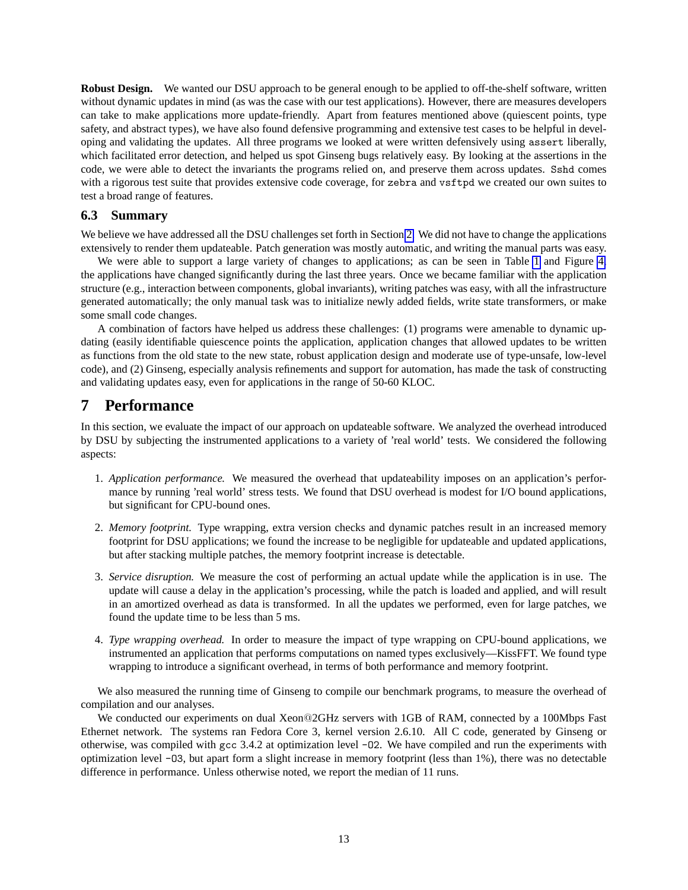**Robust Design.** We wanted our DSU approach to be general enough to be applied to off-the-shelf software, written without dynamic updates in mind (as was the case with our test applications). However, there are measures developers can take to make applications more update-friendly. Apart from features mentioned above (quiescent points, type safety, and abstract types), we have also found defensive programming and extensive test cases to be helpful in developing and validating the updates. All three programs we looked at were written defensively using assert liberally, which facilitated error detection, and helped us spot Ginseng bugs relatively easy. By looking at the assertions in the code, we were able to detect the invariants the programs relied on, and preserve them across updates. Sshd comes with a rigorous test suite that provides extensive code coverage, for zebra and vsftpd we created our own suites to test a broad range of features.

### **6.3 Summary**

We believe we have addressed all the DSU challenges set forth in Section [2.](#page-1-1) We did not have to change the applications extensively to render them updateable. Patch generation was mostly automatic, and writing the manual parts was easy.

We were able to support a large variety of changes to applications; as can be seen in Table [1](#page-9-2) and Figure [4,](#page-9-0) the applications have changed significantly during the last three years. Once we became familiar with the application structure (e.g., interaction between components, global invariants), writing patches was easy, with all the infrastructure generated automatically; the only manual task was to initialize newly added fields, write state transformers, or make some small code changes.

A combination of factors have helped us address these challenges: (1) programs were amenable to dynamic updating (easily identifiable quiescence points the application, application changes that allowed updates to be written as functions from the old state to the new state, robust application design and moderate use of type-unsafe, low-level code), and (2) Ginseng, especially analysis refinements and support for automation, has made the task of constructing and validating updates easy, even for applications in the range of 50-60 KLOC.

## <span id="page-12-0"></span>**7 Performance**

In this section, we evaluate the impact of our approach on updateable software. We analyzed the overhead introduced by DSU by subjecting the instrumented applications to a variety of 'real world' tests. We considered the following aspects:

- 1. *Application performance.* We measured the overhead that updateability imposes on an application's performance by running 'real world' stress tests. We found that DSU overhead is modest for I/O bound applications, but significant for CPU-bound ones.
- 2. *Memory footprint.* Type wrapping, extra version checks and dynamic patches result in an increased memory footprint for DSU applications; we found the increase to be negligible for updateable and updated applications, but after stacking multiple patches, the memory footprint increase is detectable.
- 3. *Service disruption.* We measure the cost of performing an actual update while the application is in use. The update will cause a delay in the application's processing, while the patch is loaded and applied, and will result in an amortized overhead as data is transformed. In all the updates we performed, even for large patches, we found the update time to be less than 5 ms.
- 4. *Type wrapping overhead.* In order to measure the impact of type wrapping on CPU-bound applications, we instrumented an application that performs computations on named types exclusively—KissFFT. We found type wrapping to introduce a significant overhead, in terms of both performance and memory footprint.

We also measured the running time of Ginseng to compile our benchmark programs, to measure the overhead of compilation and our analyses.

We conducted our experiments on dual Xeon@2GHz servers with 1GB of RAM, connected by a 100Mbps Fast Ethernet network. The systems ran Fedora Core 3, kernel version 2.6.10. All C code, generated by Ginseng or otherwise, was compiled with gcc 3.4.2 at optimization level -O2. We have compiled and run the experiments with optimization level -O3, but apart form a slight increase in memory footprint (less than 1%), there was no detectable difference in performance. Unless otherwise noted, we report the median of 11 runs.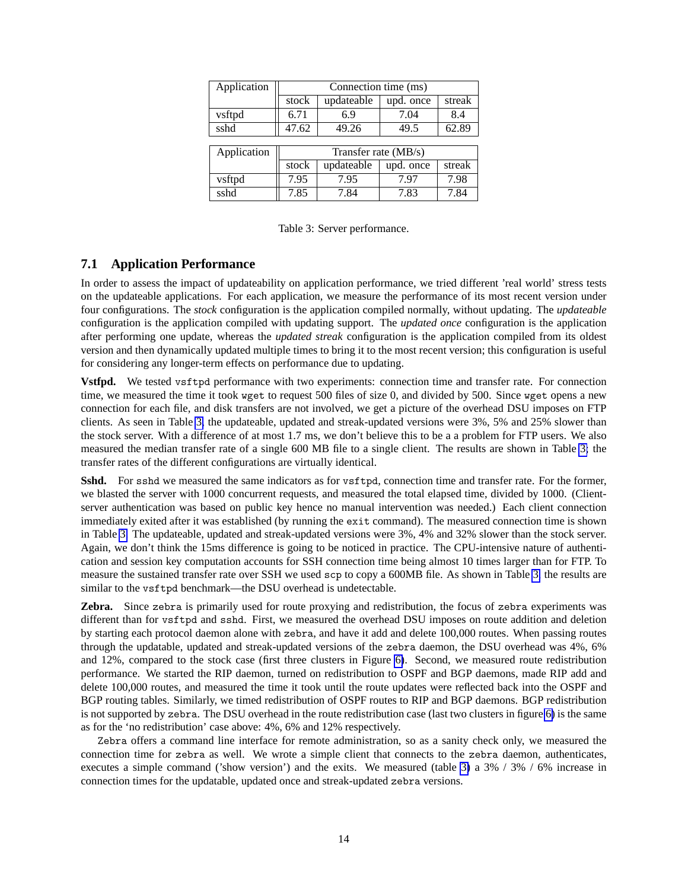| Application | Connection time (ms) |            |           |        |  |  |  |
|-------------|----------------------|------------|-----------|--------|--|--|--|
|             | stock                | streak     |           |        |  |  |  |
| vsftpd      | 6.71                 | 6.9        | 7.04      | 8.4    |  |  |  |
| sshd        | 47.62                | 49.26      | 49.5      | 62.89  |  |  |  |
|             |                      |            |           |        |  |  |  |
| Application | Transfer rate (MB/s) |            |           |        |  |  |  |
|             | stock                | updateable | upd. once | streak |  |  |  |
| vsftpd      | 7.95                 | 7.95       | 7.97      | 7.98   |  |  |  |
| sshd        | 7.85                 | 7.84       | 7.83      | 7.84   |  |  |  |

<span id="page-13-0"></span>Table 3: Server performance.

### **7.1 Application Performance**

In order to assess the impact of updateability on application performance, we tried different 'real world' stress tests on the updateable applications. For each application, we measure the performance of its most recent version under four configurations. The *stock* configuration is the application compiled normally, without updating. The *updateable* configuration is the application compiled with updating support. The *updated once* configuration is the application after performing one update, whereas the *updated streak* configuration is the application compiled from its oldest version and then dynamically updated multiple times to bring it to the most recent version; this configuration is useful for considering any longer-term effects on performance due to updating.

**Vstfpd.** We tested vsftpd performance with two experiments: connection time and transfer rate. For connection time, we measured the time it took wget to request 500 files of size 0, and divided by 500. Since wget opens a new connection for each file, and disk transfers are not involved, we get a picture of the overhead DSU imposes on FTP clients. As seen in Table [3,](#page-13-0) the updateable, updated and streak-updated versions were 3%, 5% and 25% slower than the stock server. With a difference of at most 1.7 ms, we don't believe this to be a a problem for FTP users. We also measured the median transfer rate of a single 600 MB file to a single client. The results are shown in Table [3;](#page-13-0) the transfer rates of the different configurations are virtually identical.

**Sshd.** For sshd we measured the same indicators as for vsftpd, connection time and transfer rate. For the former, we blasted the server with 1000 concurrent requests, and measured the total elapsed time, divided by 1000. (Clientserver authentication was based on public key hence no manual intervention was needed.) Each client connection immediately exited after it was established (by running the exit command). The measured connection time is shown in Table [3.](#page-13-0) The updateable, updated and streak-updated versions were 3%, 4% and 32% slower than the stock server. Again, we don't think the 15ms difference is going to be noticed in practice. The CPU-intensive nature of authentication and session key computation accounts for SSH connection time being almost 10 times larger than for FTP. To measure the sustained transfer rate over SSH we used scp to copy a 600MB file. As shown in Table [3,](#page-13-0) the results are similar to the vsftpd benchmark—the DSU overhead is undetectable.

**Zebra.** Since zebra is primarily used for route proxying and redistribution, the focus of zebra experiments was different than for vsftpd and sshd. First, we measured the overhead DSU imposes on route addition and deletion by starting each protocol daemon alone with zebra, and have it add and delete 100,000 routes. When passing routes through the updatable, updated and streak-updated versions of the zebra daemon, the DSU overhead was 4%, 6% and 12%, compared to the stock case (first three clusters in Figure [6\)](#page-14-0). Second, we measured route redistribution performance. We started the RIP daemon, turned on redistribution to OSPF and BGP daemons, made RIP add and delete 100,000 routes, and measured the time it took until the route updates were reflected back into the OSPF and BGP routing tables. Similarly, we timed redistribution of OSPF routes to RIP and BGP daemons. BGP redistribution is not supported by zebra. The DSU overhead in the route redistribution case (last two clusters in figure [6\)](#page-14-0) is the same as for the 'no redistribution' case above: 4%, 6% and 12% respectively.

Zebra offers a command line interface for remote administration, so as a sanity check only, we measured the connection time for zebra as well. We wrote a simple client that connects to the zebra daemon, authenticates, executes a simple command ('show version') and the exits. We measured (table [3\)](#page-13-0) a 3% / 3% / 6% increase in connection times for the updatable, updated once and streak-updated zebra versions.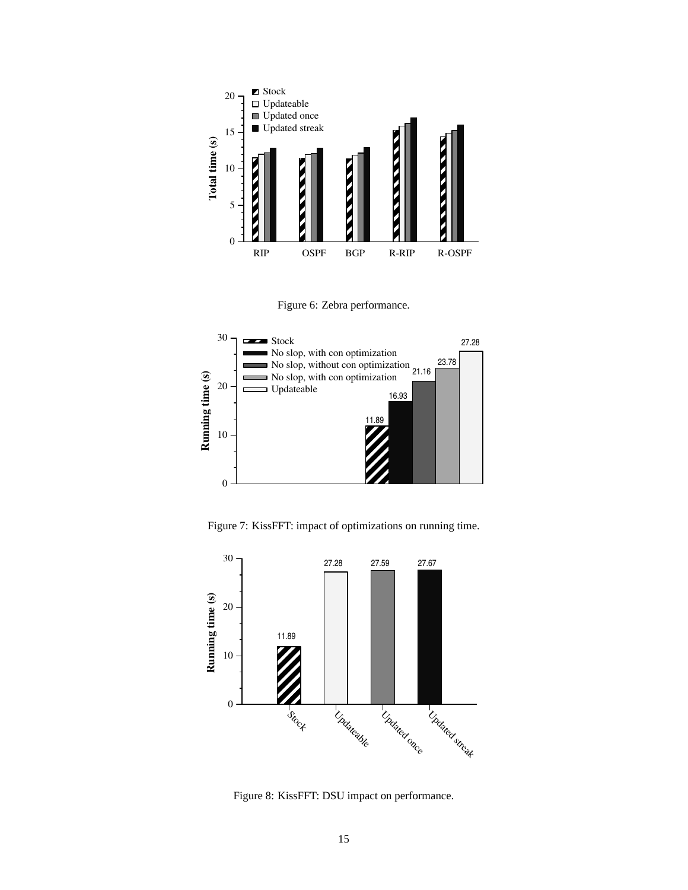

<span id="page-14-0"></span>Figure 6: Zebra performance.



<span id="page-14-2"></span>Figure 7: KissFFT: impact of optimizations on running time.



<span id="page-14-1"></span>Figure 8: KissFFT: DSU impact on performance.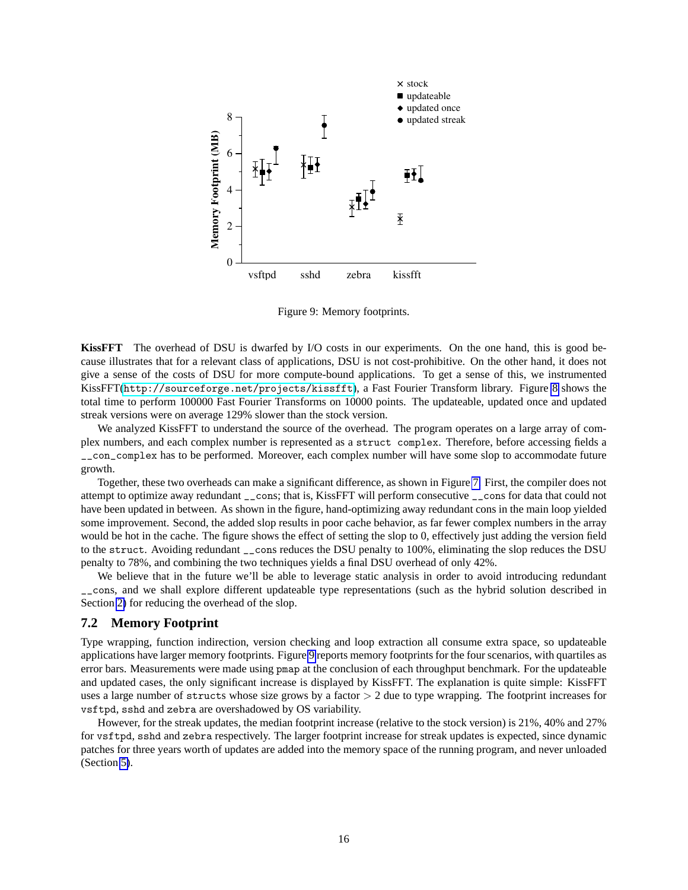

<span id="page-15-0"></span>Figure 9: Memory footprints.

**KissFFT** The overhead of DSU is dwarfed by I/O costs in our experiments. On the one hand, this is good because illustrates that for a relevant class of applications, DSU is not cost-prohibitive. On the other hand, it does not give a sense of the costs of DSU for more compute-bound applications. To get a sense of this, we instrumented KissFFT(<http://sourceforge.net/projects/kissfft>), a Fast Fourier Transform library. Figure [8](#page-14-1) shows the total time to perform 100000 Fast Fourier Transforms on 10000 points. The updateable, updated once and updated streak versions were on average 129% slower than the stock version.

We analyzed KissFFT to understand the source of the overhead. The program operates on a large array of complex numbers, and each complex number is represented as a struct complex. Therefore, before accessing fields a \_\_con\_complex has to be performed. Moreover, each complex number will have some slop to accommodate future growth.

Together, these two overheads can make a significant difference, as shown in Figure [7.](#page-14-2) First, the compiler does not attempt to optimize away redundant \_\_cons; that is, KissFFT will perform consecutive \_\_cons for data that could not have been updated in between. As shown in the figure, hand-optimizing away redundant cons in the main loop yielded some improvement. Second, the added slop results in poor cache behavior, as far fewer complex numbers in the array would be hot in the cache. The figure shows the effect of setting the slop to 0, effectively just adding the version field to the struct. Avoiding redundant \_\_cons reduces the DSU penalty to 100%, eliminating the slop reduces the DSU penalty to 78%, and combining the two techniques yields a final DSU overhead of only 42%.

We believe that in the future we'll be able to leverage static analysis in order to avoid introducing redundant \_\_cons, and we shall explore different updateable type representations (such as the hybrid solution described in Section [2\)](#page-1-1) for reducing the overhead of the slop.

### **7.2 Memory Footprint**

Type wrapping, function indirection, version checking and loop extraction all consume extra space, so updateable applications have larger memory footprints. Figure [9](#page-15-0) reports memory footprints for the four scenarios, with quartiles as error bars. Measurements were made using pmap at the conclusion of each throughput benchmark. For the updateable and updated cases, the only significant increase is displayed by KissFFT. The explanation is quite simple: KissFFT uses a large number of structs whose size grows by a factor > 2 due to type wrapping. The footprint increases for vsftpd, sshd and zebra are overshadowed by OS variability.

However, for the streak updates, the median footprint increase (relative to the stock version) is 21%, 40% and 27% for vsftpd, sshd and zebra respectively. The larger footprint increase for streak updates is expected, since dynamic patches for three years worth of updates are added into the memory space of the running program, and never unloaded (Section [5\)](#page-8-0).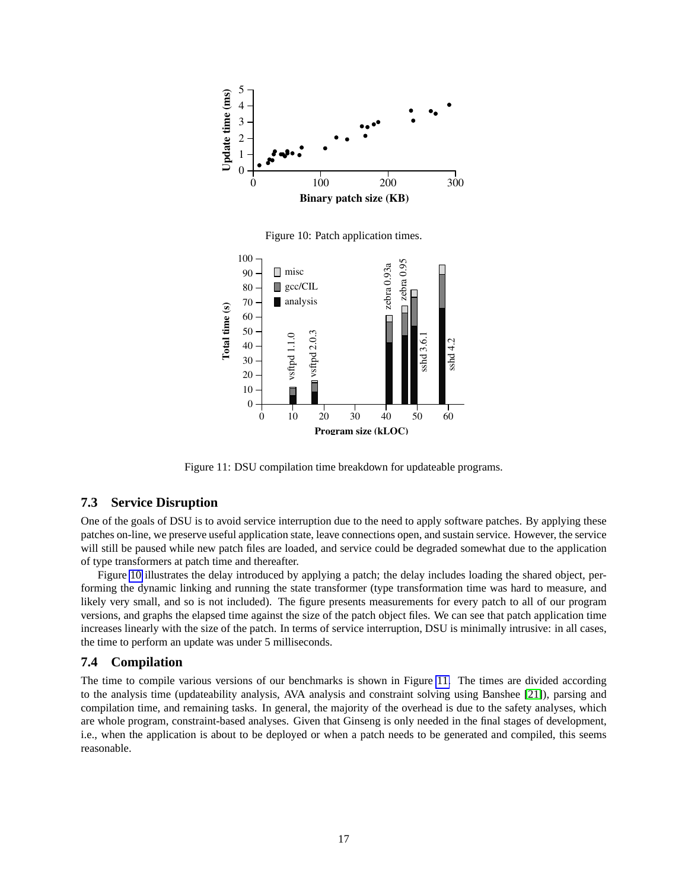

<span id="page-16-0"></span>Figure 10: Patch application times.



<span id="page-16-1"></span>Figure 11: DSU compilation time breakdown for updateable programs.

### **7.3 Service Disruption**

One of the goals of DSU is to avoid service interruption due to the need to apply software patches. By applying these patches on-line, we preserve useful application state, leave connections open, and sustain service. However, the service will still be paused while new patch files are loaded, and service could be degraded somewhat due to the application of type transformers at patch time and thereafter.

Figure [10](#page-16-0) illustrates the delay introduced by applying a patch; the delay includes loading the shared object, performing the dynamic linking and running the state transformer (type transformation time was hard to measure, and likely very small, and so is not included). The figure presents measurements for every patch to all of our program versions, and graphs the elapsed time against the size of the patch object files. We can see that patch application time increases linearly with the size of the patch. In terms of service interruption, DSU is minimally intrusive: in all cases, the time to perform an update was under 5 milliseconds.

### **7.4 Compilation**

The time to compile various versions of our benchmarks is shown in Figure [11.](#page-16-1) The times are divided according to the analysis time (updateability analysis, AVA analysis and constraint solving using Banshee [\[21\]](#page-19-14)), parsing and compilation time, and remaining tasks. In general, the majority of the overhead is due to the safety analyses, which are whole program, constraint-based analyses. Given that Ginseng is only needed in the final stages of development, i.e., when the application is about to be deployed or when a patch needs to be generated and compiled, this seems reasonable.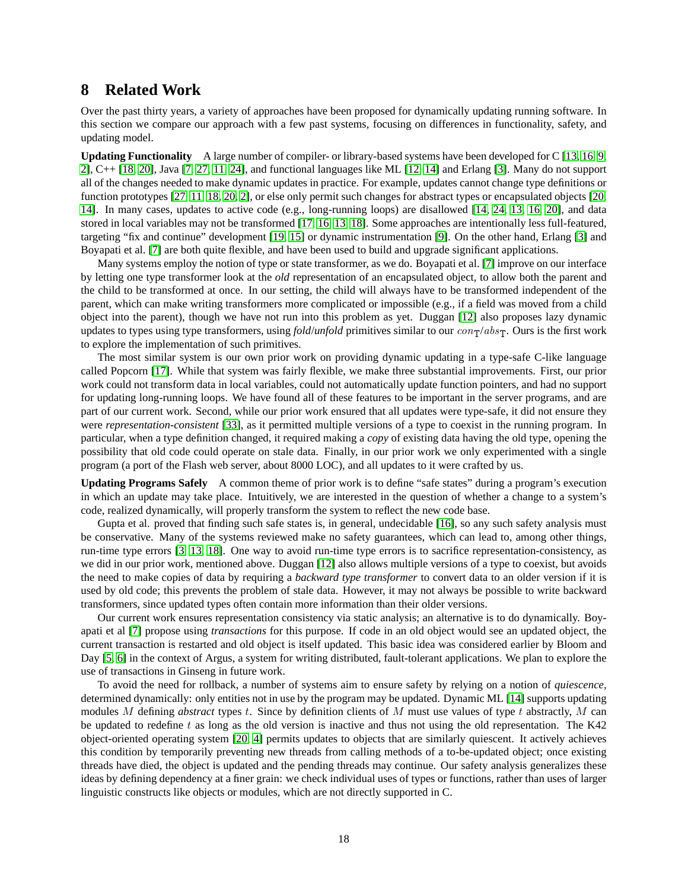## <span id="page-17-0"></span>**8 Related Work**

Over the past thirty years, a variety of approaches have been proposed for dynamically updating running software. In this section we compare our approach with a few past systems, focusing on differences in functionality, safety, and updating model.

**Updating Functionality** A large number of compiler- or library-based systems have been developed for C [\[13,](#page-19-15) [16,](#page-19-16) [9,](#page-18-5) [2\]](#page-18-6), C++ [\[18,](#page-19-6) [20\]](#page-19-9), Java [\[7,](#page-18-2) [27,](#page-19-17) [11,](#page-18-7) [24\]](#page-19-18), and functional languages like ML [\[12,](#page-18-1) [14\]](#page-19-7) and Erlang [\[3\]](#page-18-8). Many do not support all of the changes needed to make dynamic updates in practice. For example, updates cannot change type definitions or function prototypes [\[27,](#page-19-17) [11,](#page-18-7) [18,](#page-19-6) [20,](#page-19-9) [2\]](#page-18-6), or else only permit such changes for abstract types or encapsulated objects [\[20,](#page-19-9) [14\]](#page-19-7). In many cases, updates to active code (e.g., long-running loops) are disallowed [\[14,](#page-19-7) [24,](#page-19-18) [13,](#page-19-15) [16,](#page-19-16) [20\]](#page-19-9), and data stored in local variables may not be transformed [\[17,](#page-19-8) [16,](#page-19-16) [13,](#page-19-15) [18\]](#page-19-6). Some approaches are intentionally less full-featured, targeting "fix and continue" development [\[19,](#page-19-19) [15\]](#page-19-20) or dynamic instrumentation [\[9\]](#page-18-5). On the other hand, Erlang [\[3\]](#page-18-8) and Boyapati et al. [\[7\]](#page-18-2) are both quite flexible, and have been used to build and upgrade significant applications.

Many systems employ the notion of type or state transformer, as we do. Boyapati et al. [\[7\]](#page-18-2) improve on our interface by letting one type transformer look at the *old* representation of an encapsulated object, to allow both the parent and the child to be transformed at once. In our setting, the child will always have to be transformed independent of the parent, which can make writing transformers more complicated or impossible (e.g., if a field was moved from a child object into the parent), though we have not run into this problem as yet. Duggan [\[12\]](#page-18-1) also proposes lazy dynamic updates to types using type transformers, using  $fold/unfold$  primitives similar to our  $con_{T}/abs_T$ . Ours is the first work to explore the implementation of such primitives.

The most similar system is our own prior work on providing dynamic updating in a type-safe C-like language called Popcorn [\[17\]](#page-19-8). While that system was fairly flexible, we make three substantial improvements. First, our prior work could not transform data in local variables, could not automatically update function pointers, and had no support for updating long-running loops. We have found all of these features to be important in the server programs, and are part of our current work. Second, while our prior work ensured that all updates were type-safe, it did not ensure they were *representation-consistent* [\[33\]](#page-19-4), as it permitted multiple versions of a type to coexist in the running program. In particular, when a type definition changed, it required making a *copy* of existing data having the old type, opening the possibility that old code could operate on stale data. Finally, in our prior work we only experimented with a single program (a port of the Flash web server, about 8000 LOC), and all updates to it were crafted by us.

**Updating Programs Safely** A common theme of prior work is to define "safe states" during a program's execution in which an update may take place. Intuitively, we are interested in the question of whether a change to a system's code, realized dynamically, will properly transform the system to reflect the new code base.

Gupta et al. proved that finding such safe states is, in general, undecidable [\[16\]](#page-19-16), so any such safety analysis must be conservative. Many of the systems reviewed make no safety guarantees, which can lead to, among other things, run-time type errors [\[3,](#page-18-8) [13,](#page-19-15) [18\]](#page-19-6). One way to avoid run-time type errors is to sacrifice representation-consistency, as we did in our prior work, mentioned above. Duggan [\[12\]](#page-18-1) also allows multiple versions of a type to coexist, but avoids the need to make copies of data by requiring a *backward type transformer* to convert data to an older version if it is used by old code; this prevents the problem of stale data. However, it may not always be possible to write backward transformers, since updated types often contain more information than their older versions.

Our current work ensures representation consistency via static analysis; an alternative is to do dynamically. Boyapati et al [\[7\]](#page-18-2) propose using *transactions* for this purpose. If code in an old object would see an updated object, the current transaction is restarted and old object is itself updated. This basic idea was considered earlier by Bloom and Day [\[5,](#page-18-9) [6\]](#page-18-10) in the context of Argus, a system for writing distributed, fault-tolerant applications. We plan to explore the use of transactions in Ginseng in future work.

To avoid the need for rollback, a number of systems aim to ensure safety by relying on a notion of *quiescence*, determined dynamically: only entities not in use by the program may be updated. Dynamic ML [\[14\]](#page-19-7) supports updating modules M defining *abstract* types t. Since by definition clients of M must use values of type t abstractly, M can be updated to redefine t as long as the old version is inactive and thus not using the old representation. The K42 object-oriented operating system [\[20,](#page-19-9) [4\]](#page-18-0) permits updates to objects that are similarly quiescent. It actively achieves this condition by temporarily preventing new threads from calling methods of a to-be-updated object; once existing threads have died, the object is updated and the pending threads may continue. Our safety analysis generalizes these ideas by defining dependency at a finer grain: we check individual uses of types or functions, rather than uses of larger linguistic constructs like objects or modules, which are not directly supported in C.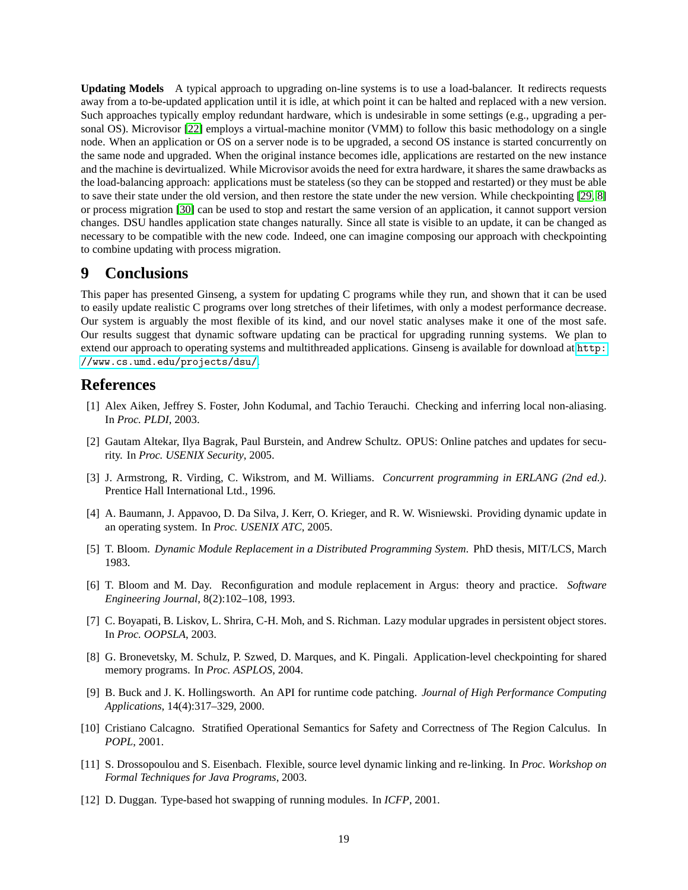**Updating Models** A typical approach to upgrading on-line systems is to use a load-balancer. It redirects requests away from a to-be-updated application until it is idle, at which point it can be halted and replaced with a new version. Such approaches typically employ redundant hardware, which is undesirable in some settings (e.g., upgrading a personal OS). Microvisor [\[22\]](#page-19-3) employs a virtual-machine monitor (VMM) to follow this basic methodology on a single node. When an application or OS on a server node is to be upgraded, a second OS instance is started concurrently on the same node and upgraded. When the original instance becomes idle, applications are restarted on the new instance and the machine is devirtualized. While Microvisor avoids the need for extra hardware, it shares the same drawbacks as the load-balancing approach: applications must be stateless (so they can be stopped and restarted) or they must be able to save their state under the old version, and then restore the state under the new version. While checkpointing [\[29,](#page-19-21) [8\]](#page-18-11) or process migration [\[30\]](#page-19-22) can be used to stop and restart the same version of an application, it cannot support version changes. DSU handles application state changes naturally. Since all state is visible to an update, it can be changed as necessary to be compatible with the new code. Indeed, one can imagine composing our approach with checkpointing to combine updating with process migration.

## **9 Conclusions**

This paper has presented Ginseng, a system for updating C programs while they run, and shown that it can be used to easily update realistic C programs over long stretches of their lifetimes, with only a modest performance decrease. Our system is arguably the most flexible of its kind, and our novel static analyses make it one of the most safe. Our results suggest that dynamic software updating can be practical for upgrading running systems. We plan to extend our approach to operating systems and multithreaded applications. Ginseng is available for download at [http:](http://www.cs.umd.edu/projects/dsu/) [//www.cs.umd.edu/projects/dsu/](http://www.cs.umd.edu/projects/dsu/).

## **References**

- <span id="page-18-4"></span>[1] Alex Aiken, Jeffrey S. Foster, John Kodumal, and Tachio Terauchi. Checking and inferring local non-aliasing. In *Proc. PLDI*, 2003.
- <span id="page-18-6"></span>[2] Gautam Altekar, Ilya Bagrak, Paul Burstein, and Andrew Schultz. OPUS: Online patches and updates for security. In *Proc. USENIX Security*, 2005.
- <span id="page-18-8"></span>[3] J. Armstrong, R. Virding, C. Wikstrom, and M. Williams. *Concurrent programming in ERLANG (2nd ed.)*. Prentice Hall International Ltd., 1996.
- <span id="page-18-0"></span>[4] A. Baumann, J. Appavoo, D. Da Silva, J. Kerr, O. Krieger, and R. W. Wisniewski. Providing dynamic update in an operating system. In *Proc. USENIX ATC*, 2005.
- <span id="page-18-9"></span>[5] T. Bloom. *Dynamic Module Replacement in a Distributed Programming System*. PhD thesis, MIT/LCS, March 1983.
- <span id="page-18-10"></span>[6] T. Bloom and M. Day. Reconfiguration and module replacement in Argus: theory and practice. *Software Engineering Journal*, 8(2):102–108, 1993.
- <span id="page-18-2"></span>[7] C. Boyapati, B. Liskov, L. Shrira, C-H. Moh, and S. Richman. Lazy modular upgrades in persistent object stores. In *Proc. OOPSLA*, 2003.
- <span id="page-18-11"></span>[8] G. Bronevetsky, M. Schulz, P. Szwed, D. Marques, and K. Pingali. Application-level checkpointing for shared memory programs. In *Proc. ASPLOS*, 2004.
- <span id="page-18-5"></span>[9] B. Buck and J. K. Hollingsworth. An API for runtime code patching. *Journal of High Performance Computing Applications*, 14(4):317–329, 2000.
- <span id="page-18-3"></span>[10] Cristiano Calcagno. Stratified Operational Semantics for Safety and Correctness of The Region Calculus. In *POPL*, 2001.
- <span id="page-18-7"></span>[11] S. Drossopoulou and S. Eisenbach. Flexible, source level dynamic linking and re-linking. In *Proc. Workshop on Formal Techniques for Java Programs*, 2003.
- <span id="page-18-1"></span>[12] D. Duggan. Type-based hot swapping of running modules. In *ICFP*, 2001.